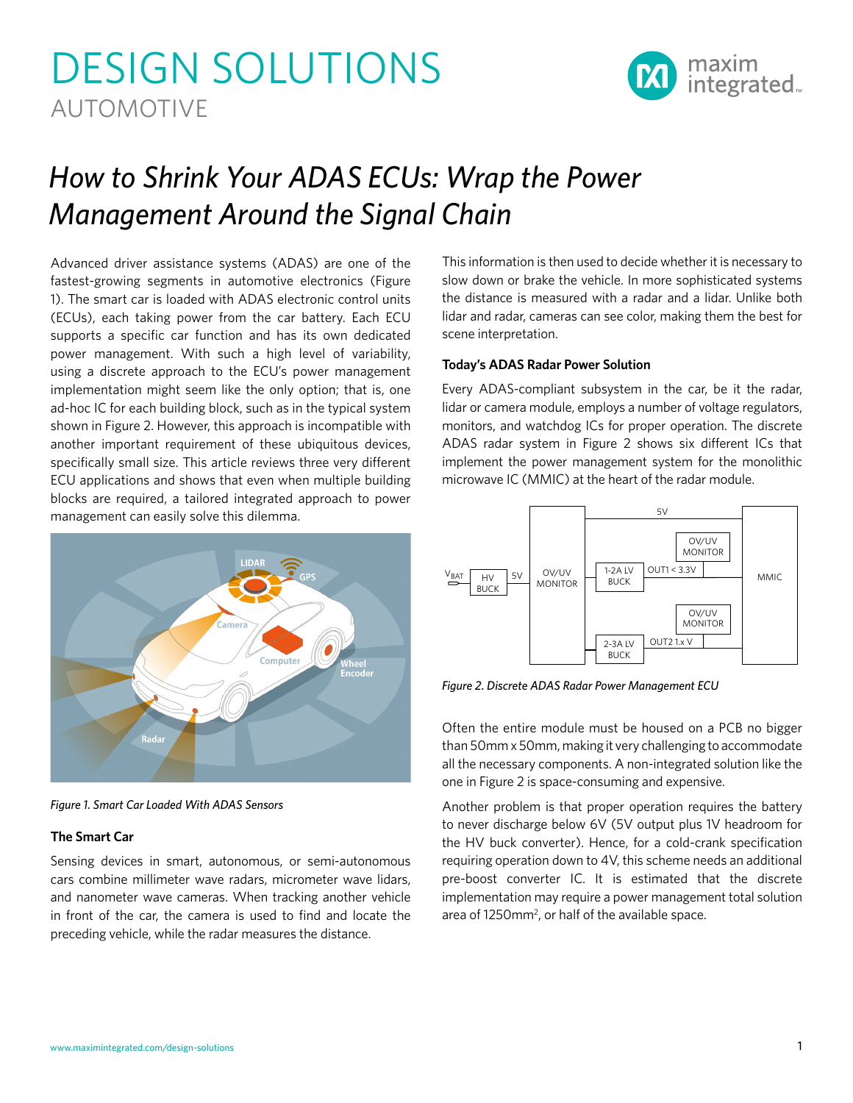# DESIGN SOLUTIONS AUTOMOTIVE



# *How to Shrink Your ADAS ECUs: Wrap the Power Management Around the Signal Chain*

Advanced driver assistance systems (ADAS) are one of the fastest-growing segments in automotive electronics (Figure 1). The smart car is loaded with ADAS electronic control units (ECUs), each taking power from the car battery. Each ECU supports a specific car function and has its own dedicated power management. With such a high level of variability, using a discrete approach to the ECU's power management implementation might seem like the only option; that is, one ad-hoc IC for each building block, such as in the typical system shown in Figure 2. However, this approach is incompatible with another important requirement of these ubiquitous devices, specifically small size. This article reviews three very different ECU applications and shows that even when multiple building blocks are required, a tailored integrated approach to power management can easily solve this dilemma.



*Figure 1. Smart Car Loaded With ADAS Sensors*

# **The Smart Car**

Sensing devices in smart, autonomous, or semi-autonomous cars combine millimeter wave radars, micrometer wave lidars, and nanometer wave cameras. When tracking another vehicle in front of the car, the camera is used to find and locate the preceding vehicle, while the radar measures the distance.

This information is then used to decide whether it is necessary to slow down or brake the vehicle. In more sophisticated systems the distance is measured with a radar and a lidar. Unlike both lidar and radar, cameras can see color, making them the best for scene interpretation.

# **Today's ADAS Radar Power Solution**

Every ADAS-compliant subsystem in the car, be it the radar, lidar or camera module, employs a number of voltage regulators, monitors, and watchdog ICs for proper operation. The discrete ADAS radar system in Figure 2 shows six different ICs that implement the power management system for the monolithic microwave IC (MMIC) at the heart of the radar module.



*Figure 2. Discrete ADAS Radar Power Management ECU*

Often the entire module must be housed on a PCB no bigger than 50mm x 50mm, making it very challenging to accommodate all the necessary components. A non-integrated solution like the one in Figure 2 is space-consuming and expensive.

Another problem is that proper operation requires the battery to never discharge below 6V (5V output plus 1V headroom for the HV buck converter). Hence, for a cold-crank specification requiring operation down to 4V, this scheme needs an additional pre-boost converter IC. It is estimated that the discrete implementation may require a power management total solution area of  $1250$ mm<sup>2</sup>, or half of the available space.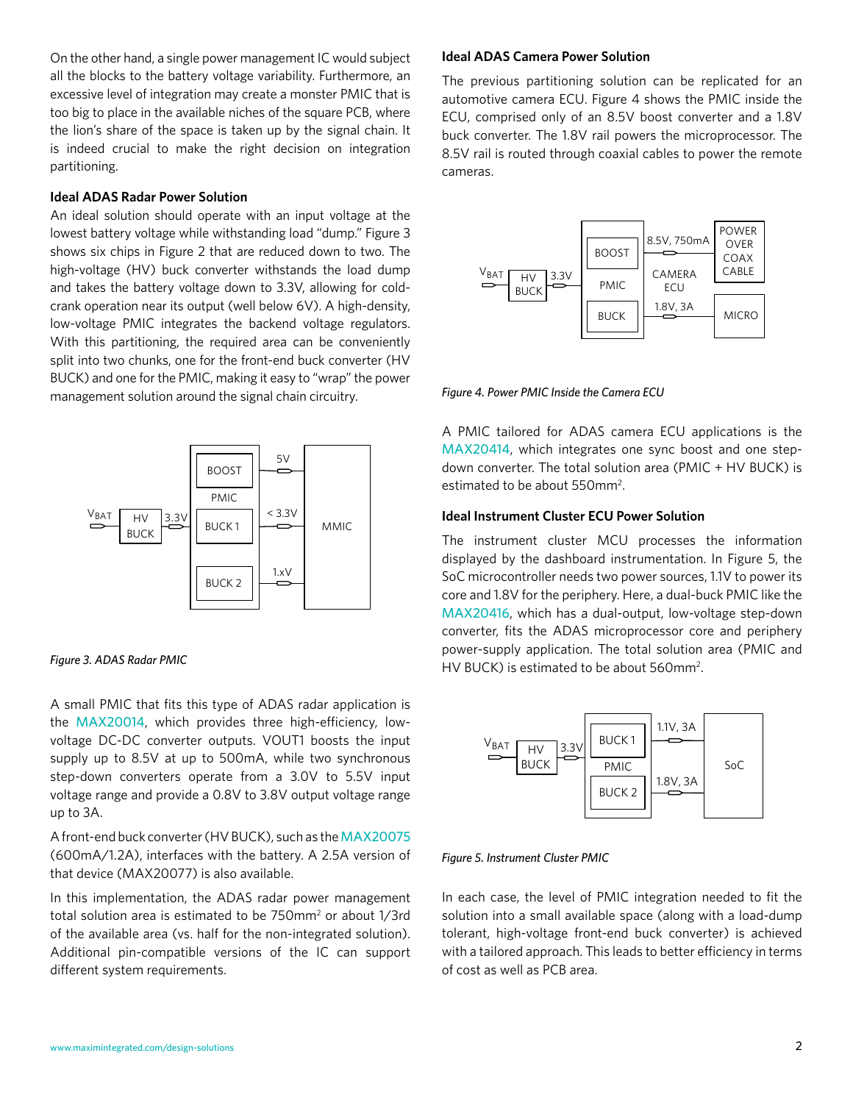On the other hand, a single power management IC would subject all the blocks to the battery voltage variability. Furthermore, an excessive level of integration may create a monster PMIC that is too big to place in the available niches of the square PCB, where the lion's share of the space is taken up by the signal chain. It is indeed crucial to make the right decision on integration partitioning.

#### **Ideal ADAS Radar Power Solution**

An ideal solution should operate with an input voltage at the lowest battery voltage while withstanding load "dump." Figure 3 shows six chips in Figure 2 that are reduced down to two. The high-voltage (HV) buck converter withstands the load dump and takes the battery voltage down to 3.3V, allowing for coldcrank operation near its output (well below 6V). A high-density, low-voltage PMIC integrates the backend voltage regulators. With this partitioning, the required area can be conveniently split into two chunks, one for the front-end buck converter (HV BUCK) and one for the PMIC, making it easy to "wrap" the power management solution around the signal chain circuitry.



#### *Figure 3. ADAS Radar PMIC*

A small PMIC that fits this type of ADAS radar application is the [MAX20014](http://www.maximintegrated.com/en/products/MAX20014), which provides three high-efficiency, lowvoltage DC-DC converter outputs. VOUT1 boosts the input supply up to 8.5V at up to 500mA, while two synchronous step-down converters operate from a 3.0V to 5.5V input voltage range and provide a 0.8V to 3.8V output voltage range up to 3A.

A front-end buck converter (HV BUCK), such as the [MAX20075](http://www.maximintegrated.com/en/products/MAX20075)  (600mA/1.2A), interfaces with the battery. A 2.5A version of that device (MAX20077) is also available.

In this implementation, the ADAS radar power management total solution area is estimated to be 750mm<sup>2</sup> or about 1/3rd of the available area (vs. half for the non-integrated solution). Additional pin-compatible versions of the IC can support different system requirements.

#### **Ideal ADAS Camera Power Solution**

The previous partitioning solution can be replicated for an automotive camera ECU. Figure 4 shows the PMIC inside the ECU, comprised only of an 8.5V boost converter and a 1.8V buck converter. The 1.8V rail powers the microprocessor. The 8.5V rail is routed through coaxial cables to power the remote cameras.



*Figure 4. Power PMIC Inside the Camera ECU*

A PMIC tailored for ADAS camera ECU applications is the [MAX20414](http://www.maximintegrated.com/en/products/MAX20414), which integrates one sync boost and one stepdown converter. The total solution area (PMIC + HV BUCK) is estimated to be about 550mm<sup>2</sup>.

# **Ideal Instrument Cluster ECU Power Solution**

The instrument cluster MCU processes the information displayed by the dashboard instrumentation. In Figure 5, the SoC microcontroller needs two power sources, 1.1V to power its core and 1.8V for the periphery. Here, a dual-buck PMIC like the [MAX20416](http://www.maximintegrated.com/en/products/MAX20416), which has a dual-output, low-voltage step-down converter, fits the ADAS microprocessor core and periphery power-supply application. The total solution area (PMIC and HV BUCK) is estimated to be about 560mm<sup>2</sup>.



#### *Figure 5. Instrument Cluster PMIC*

In each case, the level of PMIC integration needed to fit the solution into a small available space (along with a load-dump tolerant, high-voltage front-end buck converter) is achieved with a tailored approach. This leads to better efficiency in terms of cost as well as PCB area.